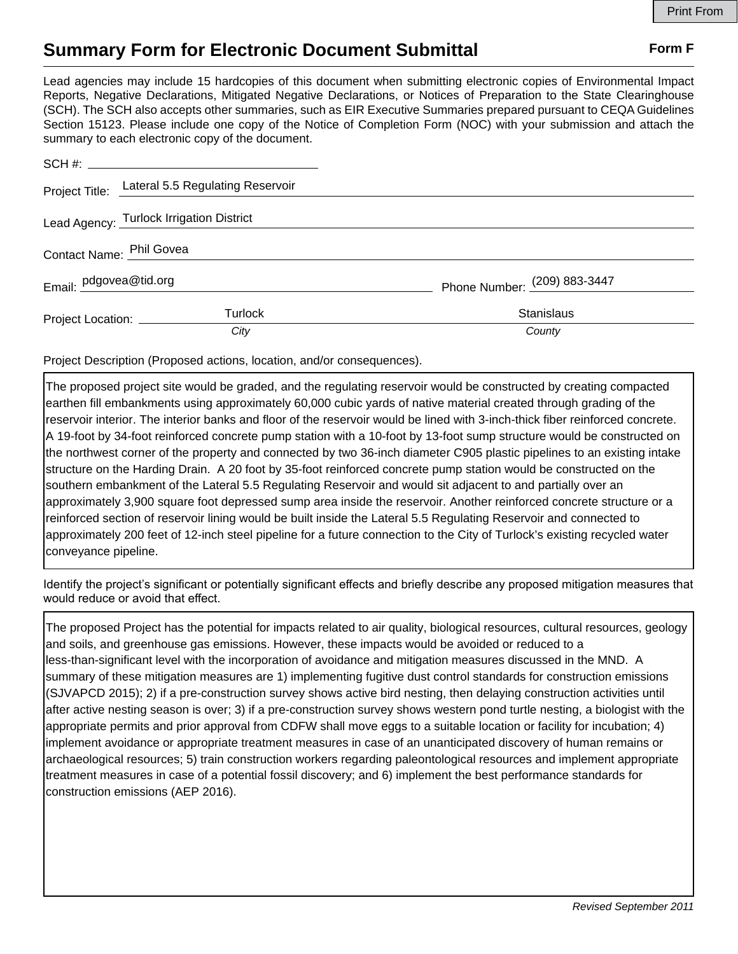## **Summary Form for Electronic Document Submittal Form F Form F**

Lead agencies may include 15 hardcopies of this document when submitting electronic copies of Environmental Impact Reports, Negative Declarations, Mitigated Negative Declarations, or Notices of Preparation to the State Clearinghouse (SCH). The SCH also accepts other summaries, such as EIR Executive Summaries prepared pursuant to CEQA Guidelines Section 15123. Please include one copy of the Notice of Completion Form (NOC) with your submission and attach the summary to each electronic copy of the document.

|                                          | Project Title: Lateral 5.5 Regulating Reservoir |                              |
|------------------------------------------|-------------------------------------------------|------------------------------|
| Lead Agency: Turlock Irrigation District |                                                 |                              |
| Contact Name: Phil Govea et al. 2014     |                                                 |                              |
| Email: pdgovea@tid.org                   |                                                 | Phone Number: (209) 883-3447 |
| Project Location: _________              | <b>Turlock</b>                                  | <b>Stanislaus</b>            |
|                                          | City                                            | County                       |

Project Description (Proposed actions, location, and/or consequences).

The proposed project site would be graded, and the regulating reservoir would be constructed by creating compacted earthen fill embankments using approximately 60,000 cubic yards of native material created through grading of the reservoir interior. The interior banks and floor of the reservoir would be lined with 3-inch-thick fiber reinforced concrete. A 19-foot by 34-foot reinforced concrete pump station with a 10-foot by 13-foot sump structure would be constructed on the northwest corner of the property and connected by two 36-inch diameter C905 plastic pipelines to an existing intake structure on the Harding Drain. A 20 foot by 35-foot reinforced concrete pump station would be constructed on the southern embankment of the Lateral 5.5 Regulating Reservoir and would sit adjacent to and partially over an approximately 3,900 square foot depressed sump area inside the reservoir. Another reinforced concrete structure or a reinforced section of reservoir lining would be built inside the Lateral 5.5 Regulating Reservoir and connected to approximately 200 feet of 12-inch steel pipeline for a future connection to the City of Turlock's existing recycled water conveyance pipeline.

Identify the project's significant or potentially significant effects and briefly describe any proposed mitigation measures that would reduce or avoid that effect.

The proposed Project has the potential for impacts related to air quality, biological resources, cultural resources, geology and soils, and greenhouse gas emissions. However, these impacts would be avoided or reduced to a less-than-significant level with the incorporation of avoidance and mitigation measures discussed in the MND. A summary of these mitigation measures are 1) implementing fugitive dust control standards for construction emissions (SJVAPCD 2015); 2) if a pre-construction survey shows active bird nesting, then delaying construction activities until after active nesting season is over; 3) if a pre-construction survey shows western pond turtle nesting, a biologist with the appropriate permits and prior approval from CDFW shall move eggs to a suitable location or facility for incubation; 4) implement avoidance or appropriate treatment measures in case of an unanticipated discovery of human remains or archaeological resources; 5) train construction workers regarding paleontological resources and implement appropriate treatment measures in case of a potential fossil discovery; and 6) implement the best performance standards for construction emissions (AEP 2016).